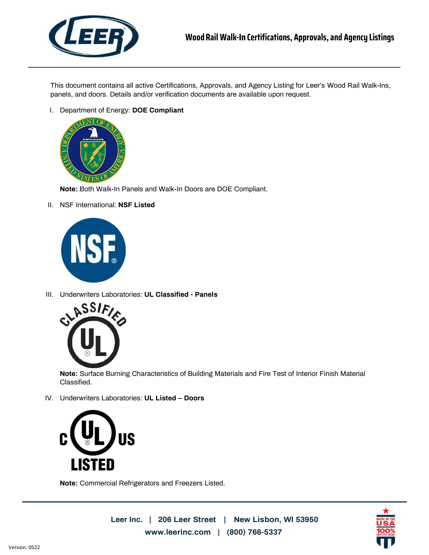

This document contains all active Certifications, Approvals, and Agency Listing for Leer's Wood Rail Walk-Ins, panels, and doors. Details and/or verification documents are available upon request.

I. Department of Energy: **DOE Compliant**



**Note:** Both Walk-In Panels and Walk-In Doors are DOE Compliant.

II. NSF International: **NSF Listed**



III. Underwriters Laboratories: **UL Classified - Panels**



**Note:** Surface Burning Characteristics of Building Materials and Fire Test of Interior Finish Material Classified.

IV. Underwriters Laboratories: **UL Listed – Doors**



**Note:** Commercial Refrigerators and Freezers Listed.

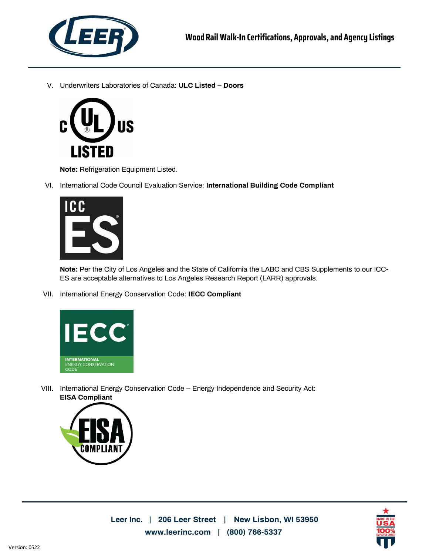

V. Underwriters Laboratories of Canada: **ULC Listed – Doors**



**Note:** Refrigeration Equipment Listed.

VI. International Code Council Evaluation Service: **International Building Code Compliant**



**Note:** Per the City of Los Angeles and the State of California the LABC and CBS Supplements to our ICC-ES are acceptable alternatives to Los Angeles Research Report (LARR) approvals.

VII. International Energy Conservation Code: **IECC Compliant**



VIII. International Energy Conservation Code – Energy Independence and Security Act: **EISA Compliant**



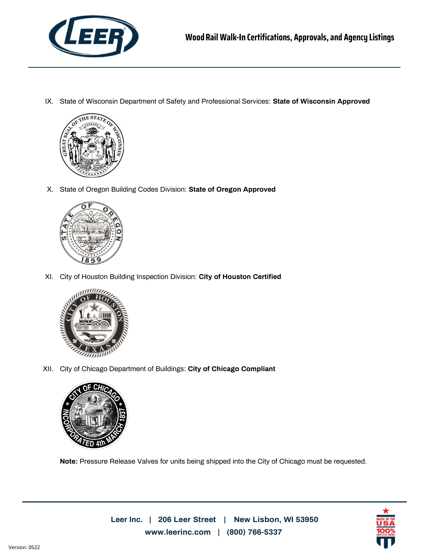

IX. State of Wisconsin Department of Safety and Professional Services: **State of Wisconsin Approved**



X. State of Oregon Building Codes Division: **State of Oregon Approved**



XI. City of Houston Building Inspection Division: **City of Houston Certified**



XII. City of Chicago Department of Buildings: **City of Chicago Compliant**



**Note:** Pressure Release Valves for units being shipped into the City of Chicago must be requested.